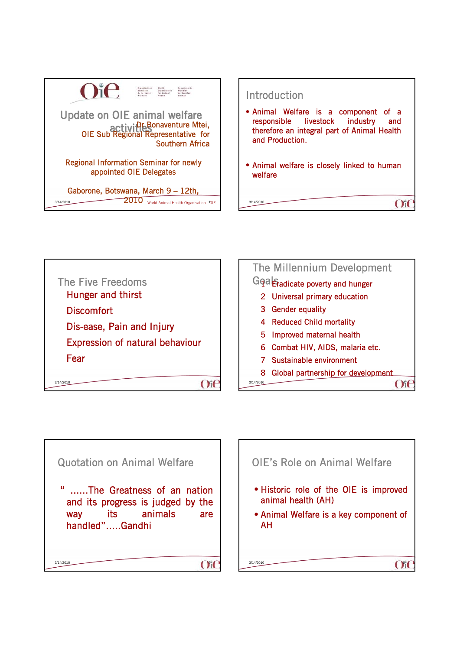







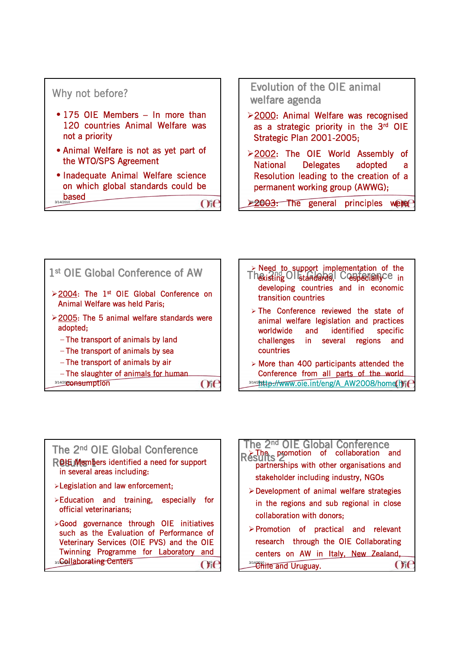#### Why not before? • 175 OIE Members – In more than 120 countries Animal Welfare was not a priority • Animal Welfare is not as yet part of the WTO/SPS Agreement • Inadequate Animal Welfare science on which global standards could be  $\frac{\text{based}}{\text{3/14/2010}}$  0 Evolution of the OIE animal welfare agenda ¾2000: Animal Welfare was recognised as a strategic priority in the 3rd OIE Strategic Plan 2001-2005; ¾2002: The OIE World Assembly of National Delegates adopted a Resolution leading to the creation of a permanent working group (AWWG); ≥ 2003: The general principles were



The killi f is the control of the control of the control of the control of the control of the control of the c<br>The control of the control of the control of the control of the control of the control of the control of the c

| > Need to support implementation of the<br>Thexisting OI standards, Cospecially Ce in<br>developing countries and in economic<br>transition countries                                    |
|------------------------------------------------------------------------------------------------------------------------------------------------------------------------------------------|
| $\triangleright$ The Conference reviewed the state of<br>animal welfare legislation and practices<br>worldwide and identified specific<br>challenges in several regions and<br>countries |
| $>$ More than 400 participants attended the<br>Conference from all parts of the world                                                                                                    |

3/14/2http://www.oie.int/eng/A\_AW2008/home.hy

t

## The  $2<sup>nd</sup>$  OIE Global Conference ROH Members identified a need for support in several areas including: ¾Legislation and law enforcement;  $\triangleright$  Education and training, especially for official veterinarians; ¾Good governance through OIE initiatives such as the Evaluation of Performance of Veterinary Services (OIE PVS) and the OIE Twinning Programme for Laboratory and 3/16ollaborating Centers 111 Collaborating Centers 111